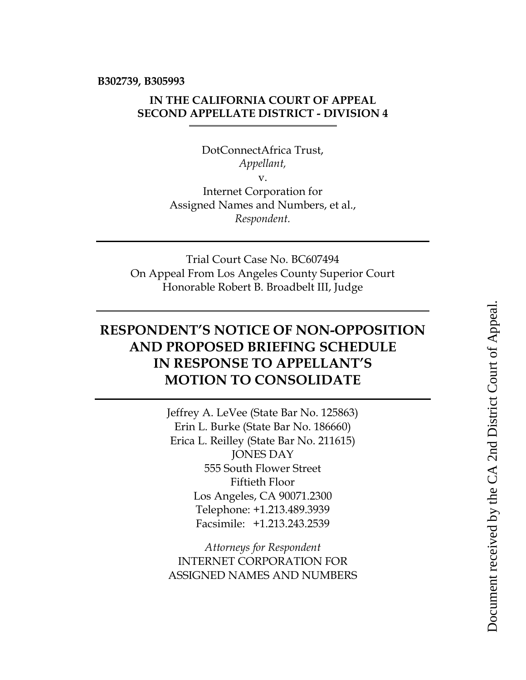**B302739, B305993**

## **IN THE CALIFORNIA COURT OF APPEAL SECOND APPELLATE DISTRICT - DIVISION 4**

DotConnectAfrica Trust, *Appellant,* v. Internet Corporation for Assigned Names and Numbers, et al., *Respondent.*

Trial Court Case No. BC607494 On Appeal From Los Angeles County Superior Court Honorable Robert B. Broadbelt III, Judge

## **RESPONDENT'S NOTICE OF NON-OPPOSITION AND PROPOSED BRIEFING SCHEDULE IN RESPONSE TO APPELLANT'S MOTION TO CONSOLIDATE**

Jeffrey A. LeVee (State Bar No. 125863) Erin L. Burke (State Bar No. 186660) Erica L. Reilley (State Bar No. 211615) JONES DAY 555 South Flower Street Fiftieth Floor Los Angeles, CA 90071.2300 Telephone: +1.213.489.3939 Facsimile: +1.213.243.2539

*Attorneys for Respondent* INTERNET CORPORATION FOR ASSIGNED NAMES AND NUMBERS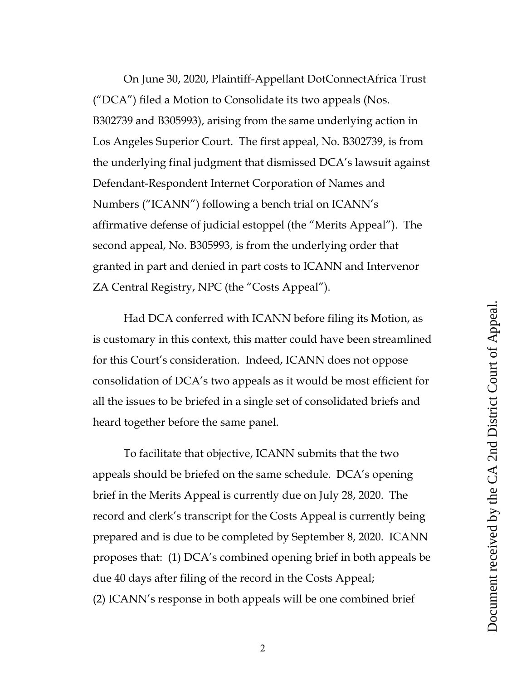On June 30, 2020, Plaintiff-Appellant DotConnectAfrica Trust ("DCA") filed a Motion to Consolidate its two appeals (Nos. B302739 and B305993), arising from the same underlying action in Los Angeles Superior Court. The first appeal, No. B302739, is from the underlying final judgment that dismissed DCA's lawsuit against Defendant-Respondent Internet Corporation of Names and Numbers ("ICANN") following a bench trial on ICANN's affirmative defense of judicial estoppel (the "Merits Appeal"). The second appeal, No. B305993, is from the underlying order that granted in part and denied in part costs to ICANN and Intervenor ZA Central Registry, NPC (the "Costs Appeal").

Had DCA conferred with ICANN before filing its Motion, as is customary in this context, this matter could have been streamlined for this Court's consideration. Indeed, ICANN does not oppose consolidation of DCA's two appeals as it would be most efficient for all the issues to be briefed in a single set of consolidated briefs and heard together before the same panel.

To facilitate that objective, ICANN submits that the two appeals should be briefed on the same schedule. DCA's opening brief in the Merits Appeal is currently due on July 28, 2020. The record and clerk's transcript for the Costs Appeal is currently being prepared and is due to be completed by September 8, 2020. ICANN proposes that: (1) DCA's combined opening brief in both appeals be due 40 days after filing of the record in the Costs Appeal; (2) ICANN's response in both appeals will be one combined brief

2